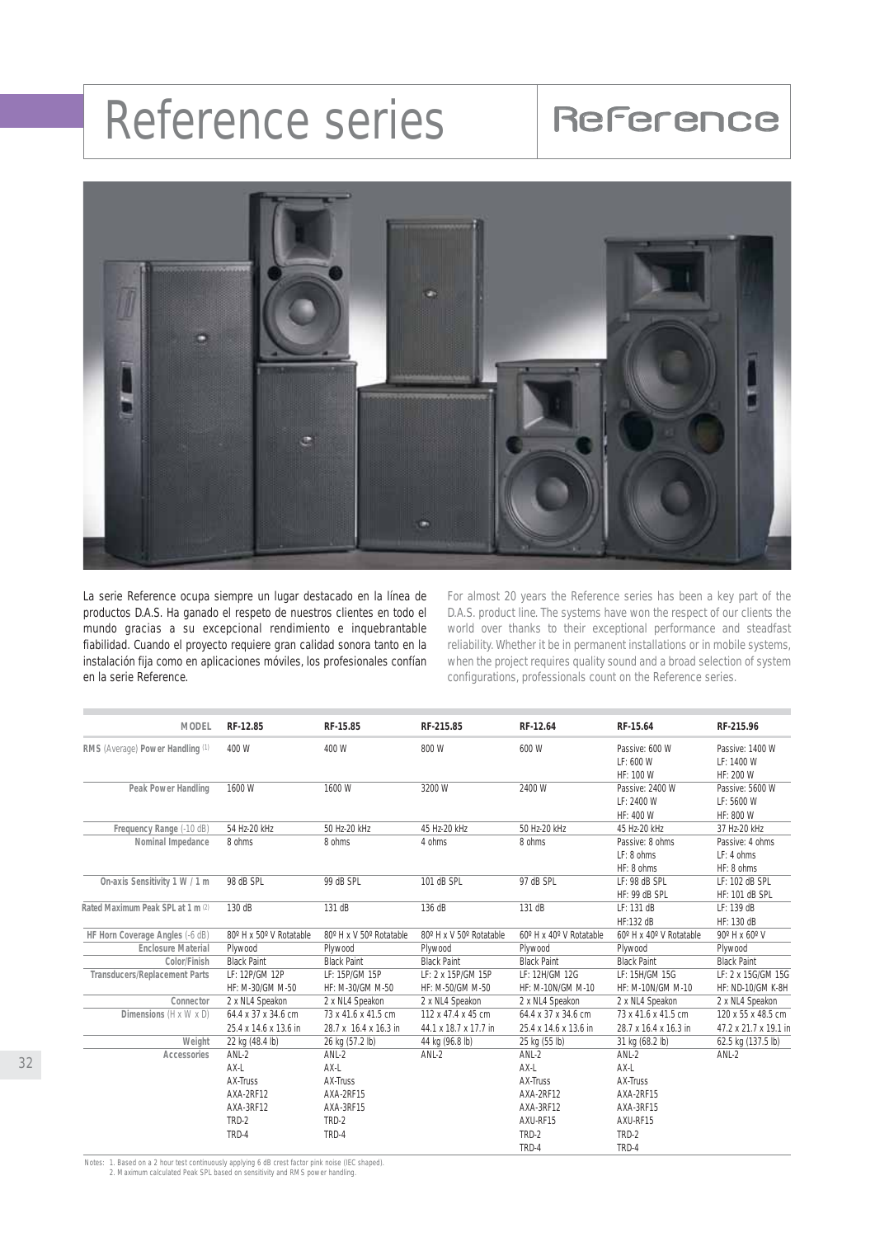## Reference series Reference



La serie Reference ocupa siempre un lugar destacado en la línea de productos D.A.S. Ha ganado el respeto de nuestros clientes en todo el mundo gracias a su excepcional rendimiento e inquebrantable fiabilidad. Cuando el proyecto requiere gran calidad sonora tanto en la instalación fija como en aplicaciones móviles, los profesionales confían en la serie Reference.

For almost 20 years the Reference series has been a key part of the D.A.S. product line. The systems have won the respect of our clients the world over thanks to their exceptional performance and steadfast reliability. Whether it be in permanent installations or in mobile systems, when the project requires quality sound and a broad selection of system configurations, professionals count on the Reference series.

| <b>MODEL</b>                         | RF-12.85                | RF-15.85                | RF-215.85               | RF-12.64                | RF-15.64                | RF-215.96                |
|--------------------------------------|-------------------------|-------------------------|-------------------------|-------------------------|-------------------------|--------------------------|
| RMS (Average) Power Handling (1)     | 400 W                   | 400 W                   | 800 W                   | 600 W                   | Passive: 600 W          | Passive: 1400 W          |
|                                      |                         |                         |                         |                         | LF: 600 W               | LF: 1400 W               |
|                                      |                         |                         |                         |                         | HF: 100 W               | HF: 200 W                |
| Peak Power Handling                  | 1600 W                  | 1600 W                  | 3200 W                  | 2400 W                  | Passive: 2400 W         | Passive: 5600 W          |
|                                      |                         |                         |                         |                         | LF: 2400 W              | LF: 5600 W               |
|                                      |                         |                         |                         |                         | HF: 400 W               | HF: 800 W                |
| Frequency Range (-10 dB)             | 54 Hz-20 kHz            | 50 Hz-20 kHz            | 45 Hz-20 kHz            | 50 Hz-20 kHz            | 45 Hz-20 kHz            | 37 Hz-20 kHz             |
| Nominal Impedance                    | 8 ohms                  | 8 ohms                  | 4 ohms                  | 8 ohms                  | Passive: 8 ohms         | Passive: 4 ohms          |
|                                      |                         |                         |                         |                         | LF: 8 ohms              | LF: 4 ohms               |
|                                      |                         |                         |                         |                         | HF: 8 ohms              | HF: 8 ohms               |
| On-axis Sensitivity 1 W / 1 m        | 98 dB SPL               | 99 dB SPL               | 101 dB SPL              | 97 dB SPL               | LF: 98 dB SPL           | LF: 102 dB SPL           |
|                                      |                         |                         |                         |                         | HF: 99 dB SPL           | <b>HF: 101 dB SPL</b>    |
| Rated Maximum Peak SPL at 1 m (2)    | 130 dB                  | 131 dB                  | 136 dB                  | 131 dB                  | LF: 131 dB              | LF: 139 dB               |
|                                      |                         |                         |                         |                         | HF:132 dB               | HF: 130 dB               |
| HF Horn Coverage Angles (-6 dB)      | 80° H x 50° V Rotatable | 80° H x V 50° Rotatable | 80° H x V 50° Rotatable | 60° H x 40° V Rotatable | 60° H x 40° V Rotatable | 90° H x 60° V            |
| <b>Enclosure Material</b>            | Plywood                 | Plywood                 | Plywood                 | Plywood                 | Plywood                 | Plywood                  |
| Color/Finish                         | <b>Black Paint</b>      | <b>Black Paint</b>      | <b>Black Paint</b>      | <b>Black Paint</b>      | <b>Black Paint</b>      | <b>Black Paint</b>       |
| <b>Transducers/Replacement Parts</b> | LF: 12P/GM 12P          | LF: 15P/GM 15P          | LF: 2 x 15P/GM 15P      | LF: 12H/GM 12G          | LF: 15H/GM 15G          | LF: 2 x 15G/GM 15G       |
|                                      | HF: M-30/GM M-50        | HF: M-30/GM M-50        | HF: M-50/GM M-50        | HF: M-10N/GM M-10       | HF: M-10N/GM M-10       | <b>HF: ND-10/GM K-8H</b> |
| Connector                            | 2 x NL4 Speakon         | 2 x NL4 Speakon         | 2 x NL4 Speakon         | 2 x NL4 Speakon         | 2 x NL4 Speakon         | 2 x NL4 Speakon          |
| Dimensions (H x W x D)               | 64.4 x 37 x 34.6 cm     | 73 x 41.6 x 41.5 cm     | 112 x 47.4 x 45 cm      | 64.4 x 37 x 34.6 cm     | 73 x 41.6 x 41.5 cm     | 120 x 55 x 48.5 cm       |
|                                      | 25.4 x 14.6 x 13.6 in   | 28.7 x 16.4 x 16.3 in   | 44.1 x 18.7 x 17.7 in   | 25.4 x 14.6 x 13.6 in   | 28.7 x 16.4 x 16.3 in   | 47.2 x 21.7 x 19.1 in    |
| Weight                               | 22 kg (48.4 lb)         | 26 kg (57.2 lb)         | 44 kg (96.8 lb)         | 25 kg (55 lb)           | 31 kg (68.2 lb)         | 62.5 kg (137.5 lb)       |
| Accessories                          | $ANL-2$                 | $ANL-2$                 | $ANL-2$                 | $ANL-2$                 | $ANL-2$                 | $ANL-2$                  |
|                                      | AX-L                    | AX-L                    |                         | AX-L                    | AX-L                    |                          |
|                                      | <b>AX-Truss</b>         | AX-Truss                |                         | AX-Truss                | AX-Truss                |                          |
|                                      | AXA-2RF12               | AXA-2RF15               |                         | AXA-2RF12               | AXA-2RF15               |                          |
|                                      | AXA-3RF12               | AXA-3RF15               |                         | AXA-3RF12               | AXA-3RF15               |                          |
|                                      | TRD-2                   | TRD-2                   |                         | AXU-RF15                | AXU-RF15                |                          |
|                                      | TRD-4                   | TRD-4                   |                         | TRD-2                   | TRD-2                   |                          |
|                                      |                         |                         |                         | TRD-4                   | TRD-4                   |                          |

*Notes: 1. Based on a 2 hour test continuously applying 6 dB crest factor pink noise (IEC shaped). 2. Maximum calculated Peak SPL based on sensitivity and RMS power handling.*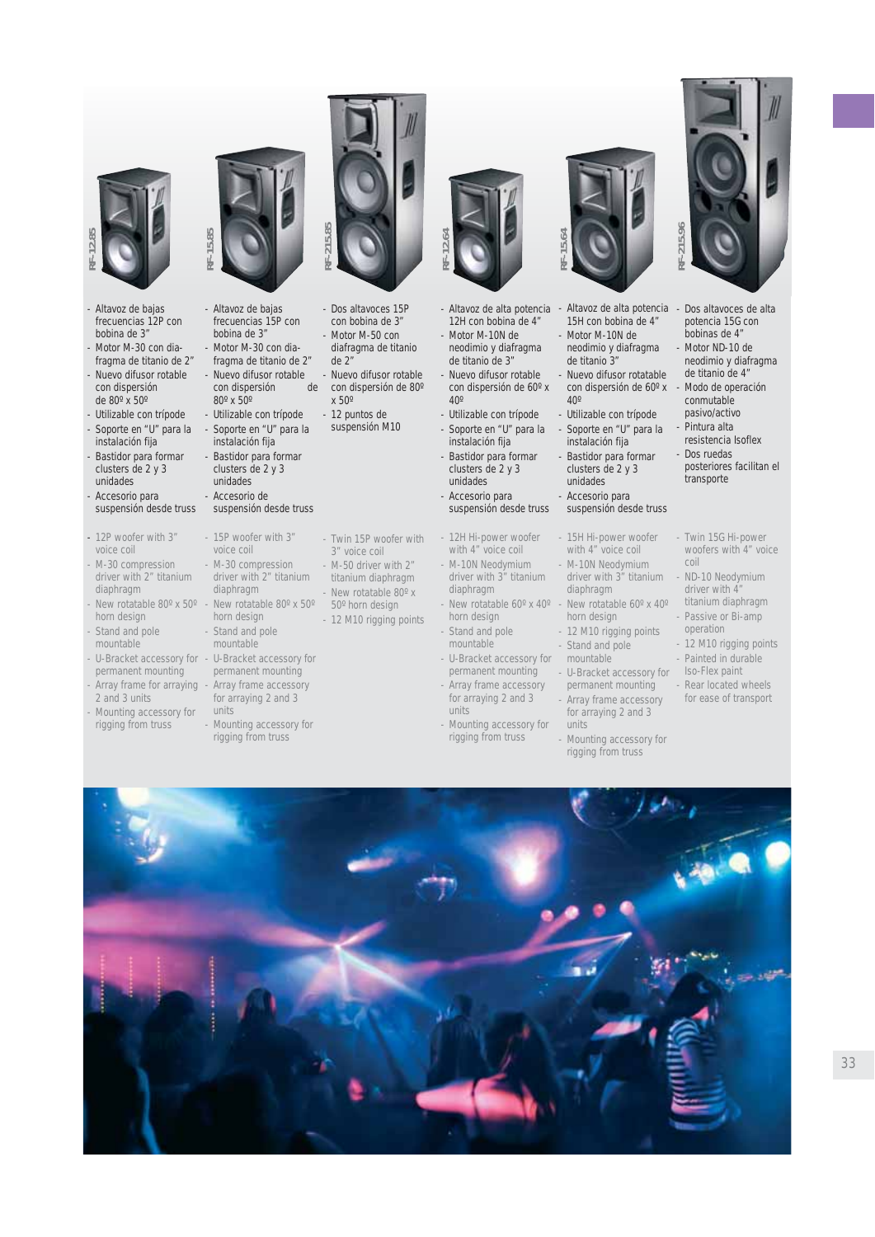

- *for arraying 2 and 3*
- *units - Mounting accessory for*

*- Mounting accessory for rigging from truss*

**RF-12.85**

- *Twin 15P woofer with - M-50 driver with 2" titanium diaphragm - New rotatable 80º x*
- *12 M10 rigging points*
- 
- 
- *rigging from truss*
- *50º horn design*
	- - *permanent mounting*
			- *for arraying 2 and 3 units*
			- *Mounting accessory for rigging from truss*
- **RF-15.64**
- *Altavoz de alta potencia 12H con bobina de 4" - Motor M-10N de neodimio y diafragma de titanio de 3" de titanio 3"*
- *Nuevo difusor rotable con dispersión de 60º x 40º*
- *Utilizable con trípode*

**RF-12.64**

- *Soporte en "U" para la instalación fija*
- *Bastidor para formar clusters de 2 y 3 unidades*
- *Accesorio para suspensión desde truss*
- *12H Hi-power woofer with 4" voice coil - M-10N Neodymium driver with 3" titanium*
	- *diaphragm - New rotatable 60º x 40º horn design*
- *Stand and pole mountable*
- *U-Bracket accessory for*
- *Array frame accessory*
- 
- 



- *Altavoz de alta potencia Dos altavoces de alta 15H con bobina de 4" - Motor M-10N de*
- *neodimio y diafragma - Nuevo difusor rotatable con dispersión de 60º x*
- *40º - Utilizable con trípode*
- *Soporte en "U" para la instalación fija - Bastidor para formar*
- *clusters de 2 y 3 unidades*
- *Accesorio para suspensión desde truss*
- *15H Hi-power woofer with 4" voice coil - M-10N Neodymium driver with 3" titanium*
- *diaphragm - New rotatable 60º x 40º horn design*
- *12 M10 rigging points - Stand and pole*
- *mountable - U-Bracket accessory for*
- *permanent mounting - Array frame accessory*
- *for arraying 2 and 3 units - Mounting accessory for*
- *rigging from truss*



- *potencia 15G con bobinas de 4"*
- *Motor ND-10 de neodimio y diafragma de titanio de 4"*
- *Modo de operación conmutable pasivo/activo*
- *Pintura alta*
- *resistencia Isoflex - Dos ruedas*
- *posteriores facilitan el transporte*
- *Twin 15G Hi-power woofers with 4" voice coil*
- *ND-10 Neodymium driver with 4" titanium diaphragm*
- *Passive or Bi-amp operation*
- *12 M10 rigging points - Painted in durable*
- *Iso-Flex paint*
- *Rear located wheels for ease of transport*